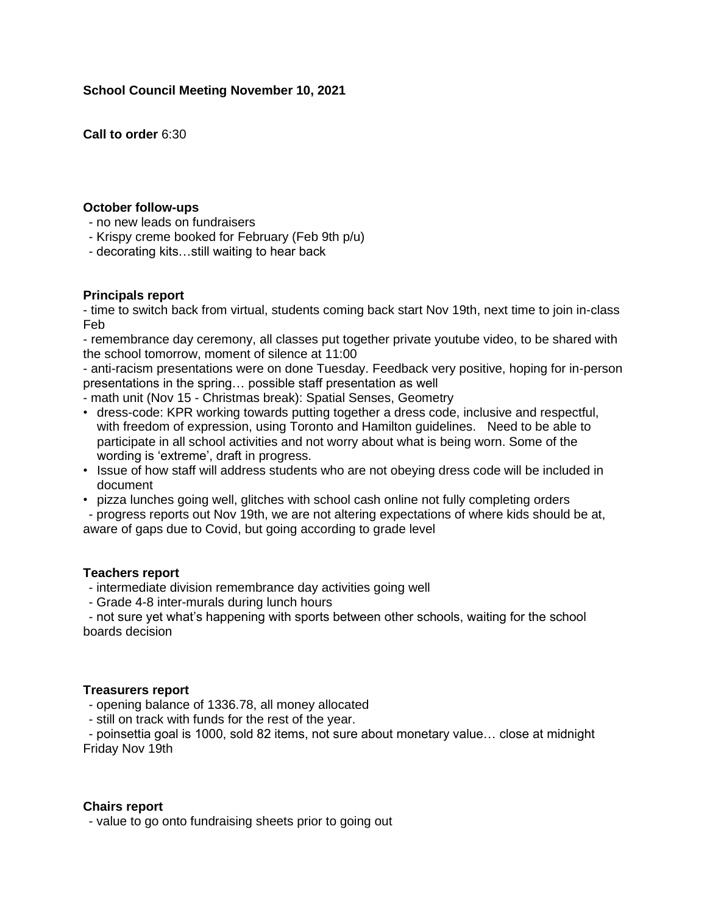# **School Council Meeting November 10, 2021**

**Call to order** 6:30

## **October follow-ups**

- no new leads on fundraisers
- Krispy creme booked for February (Feb 9th p/u)
- decorating kits…still waiting to hear back

# **Principals report**

- time to switch back from virtual, students coming back start Nov 19th, next time to join in-class Feb

- remembrance day ceremony, all classes put together private youtube video, to be shared with the school tomorrow, moment of silence at 11:00

- anti-racism presentations were on done Tuesday. Feedback very positive, hoping for in-person presentations in the spring… possible staff presentation as well

- math unit (Nov 15 Christmas break): Spatial Senses, Geometry
- dress-code: KPR working towards putting together a dress code, inclusive and respectful, with freedom of expression, using Toronto and Hamilton guidelines. Need to be able to participate in all school activities and not worry about what is being worn. Some of the wording is 'extreme', draft in progress.
- Issue of how staff will address students who are not obeying dress code will be included in document
- pizza lunches going well, glitches with school cash online not fully completing orders - progress reports out Nov 19th, we are not altering expectations of where kids should be at, aware of gaps due to Covid, but going according to grade level

# **Teachers report**

- intermediate division remembrance day activities going well
- Grade 4-8 inter-murals during lunch hours

- not sure yet what's happening with sports between other schools, waiting for the school boards decision

## **Treasurers report**

- opening balance of 1336.78, all money allocated
- still on track with funds for the rest of the year.

- poinsettia goal is 1000, sold 82 items, not sure about monetary value… close at midnight Friday Nov 19th

## **Chairs report**

- value to go onto fundraising sheets prior to going out